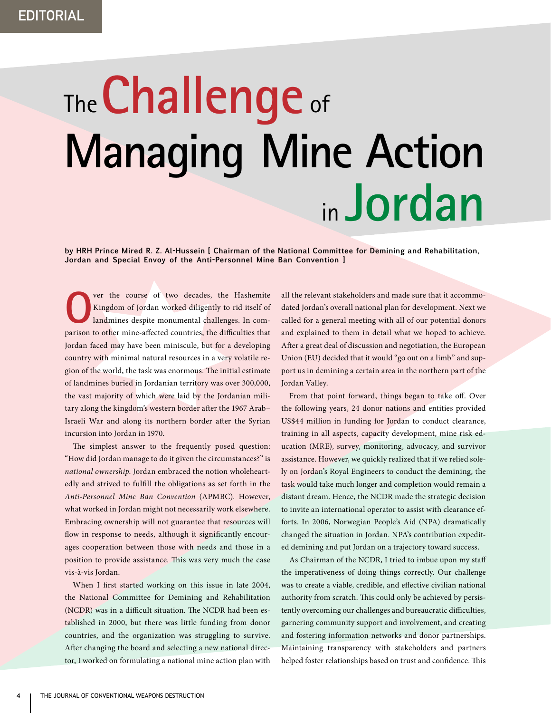## The**Challenge** of **Managing Mine Action** in **Jordan**

**by HRH Prince Mired R. Z. Al-Hussein [ Chairman of the National Committee for Demining and Rehabilitation, Jordan and Special Envoy of the Anti-Personnel Mine Ban Convention ]**

**O**ver the course of two decades, the Hashemite<br>Kingdom of Jordan worked diligently to rid itself of<br>landmines despite monumental challenges. In com-Kingdom of Jordan worked diligently to rid itself of landmines despite monumental challenges. In comparison to other mine-affected countries, the difficulties that Jordan faced may have been miniscule, but for a developing country with minimal natural resources in a very volatile region of the world, the task was enormous. The initial estimate of landmines buried in Jordanian territory was over 300,000, the vast majority of which were laid by the Jordanian military along the kingdom's western border after the 1967 Arab– Israeli War and along its northern border after the Syrian incursion into Jordan in 1970.

The simplest answer to the frequently posed question: "How did Jordan manage to do it given the circumstances?" is *national ownership*. Jordan embraced the notion wholeheartedly and strived to fulfill the obligations as set forth in the *Anti-Personnel Mine Ban Convention* (APMBC). However, what worked in Jordan might not necessarily work elsewhere. Embracing ownership will not guarantee that resources will flow in response to needs, although it significantly encourages cooperation between those with needs and those in a position to provide assistance. This was very much the case vis-à-vis Jordan.

When I first started working on this issue in late 2004, the National Committee for Demining and Rehabilitation (NCDR) was in a difficult situation. The NCDR had been established in 2000, but there was little funding from donor countries, and the organization was struggling to survive. After changing the board and selecting a new national director, I worked on formulating a national mine action plan with all the relevant stakeholders and made sure that it accommodated Jordan's overall national plan for development. Next we called for a general meeting with all of our potential donors and explained to them in detail what we hoped to achieve. After a great deal of discussion and negotiation, the European Union (EU) decided that it would "go out on a limb" and support us in demining a certain area in the northern part of the Jordan Valley.

From that point forward, things began to take off. Over the following years, 24 donor nations and entities provided US\$44 million in funding for Jordan to conduct clearance, training in all aspects, capacity development, mine risk education (MRE), survey, monitoring, advocacy, and survivor assistance. However, we quickly realized that if we relied solely on Jordan's Royal Engineers to conduct the demining, the task would take much longer and completion would remain a distant dream. Hence, the NCDR made the strategic decision to invite an international operator to assist with clearance efforts. In 2006, Norwegian People's Aid (NPA) dramatically changed the situation in Jordan. NPA's contribution expedited demining and put Jordan on a trajectory toward success.

As Chairman of the NCDR, I tried to imbue upon my staff the imperativeness of doing things correctly. Our challenge was to create a viable, credible, and effective civilian national authority from scratch. This could only be achieved by persistently overcoming our challenges and bureaucratic difficulties, garnering community support and involvement, and creating and fostering information networks and donor partnerships. Maintaining transparency with stakeholders and partners helped foster relationships based on trust and confidence. This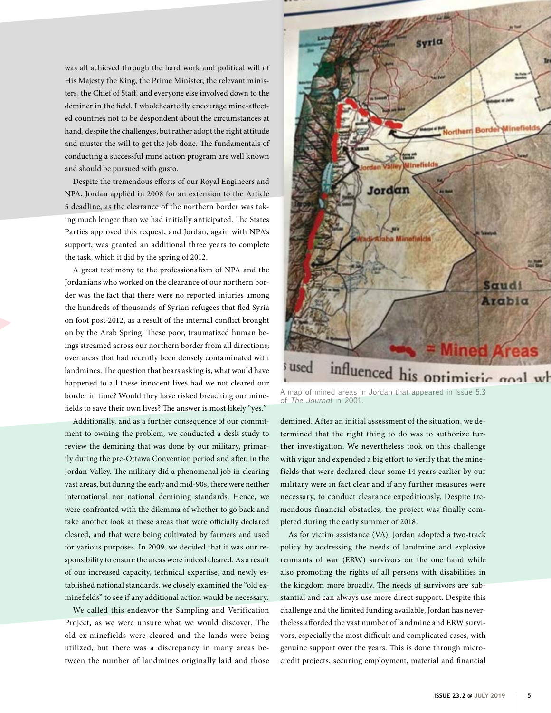was all achieved through the hard work and political will of His Majesty the King, the Prime Minister, the relevant ministers, the Chief of Staff, and everyone else involved down to the deminer in the field. I wholeheartedly encourage mine-affected countries not to be despondent about the circumstances at hand, despite the challenges, but rather adopt the right attitude and muster the will to get the job done. The fundamentals of conducting a successful mine action program are well known and should be pursued with gusto.

Despite the tremendous efforts of our Royal Engineers and NPA, Jordan applied in 2008 for an extension to the Article 5 deadline, as the clearance of the northern border was taking much longer than we had initially anticipated. The States Parties approved this request, and Jordan, again with NPA's support, was granted an additional three years to complete the task, which it did by the spring of 2012.

A great testimony to the professionalism of NPA and the Jordanians who worked on the clearance of our northern border was the fact that there were no reported injuries among the hundreds of thousands of Syrian refugees that fled Syria on foot post-2012, as a result of the internal conflict brought on by the Arab Spring. These poor, traumatized human beings streamed across our northern border from all directions; over areas that had recently been densely contaminated with landmines. The question that bears asking is, what would have happened to all these innocent lives had we not cleared our border in time? Would they have risked breaching our minefields to save their own lives? The answer is most likely "yes."

Additionally, and as a further consequence of our commitment to owning the problem, we conducted a desk study to review the demining that was done by our military, primarily during the pre-Ottawa Convention period and after, in the Jordan Valley. The military did a phenomenal job in clearing vast areas, but during the early and mid-90s, there were neither international nor national demining standards. Hence, we were confronted with the dilemma of whether to go back and take another look at these areas that were officially declared cleared, and that were being cultivated by farmers and used for various purposes. In 2009, we decided that it was our responsibility to ensure the areas were indeed cleared. As a result of our increased capacity, technical expertise, and newly established national standards, we closely examined the "old exminefields" to see if any additional action would be necessary.

We called this endeavor the Sampling and Verification Project, as we were unsure what we would discover. The old ex-minefields were cleared and the lands were being utilized, but there was a discrepancy in many areas between the number of landmines originally laid and those



A map of mined areas in Jordan that appeared in Issue 5.3 of *The Journal* in 2001.

demined. After an initial assessment of the situation, we determined that the right thing to do was to authorize further investigation. We nevertheless took on this challenge with vigor and expended a big effort to verify that the minefields that were declared clear some 14 years earlier by our military were in fact clear and if any further measures were necessary, to conduct clearance expeditiously. Despite tremendous financial obstacles, the project was finally completed during the early summer of 2018.

As for victim assistance (VA), Jordan adopted a two-track policy by addressing the needs of landmine and explosive remnants of war (ERW) survivors on the one hand while also promoting the rights of all persons with disabilities in the kingdom more broadly. The needs of survivors are substantial and can always use more direct support. Despite this challenge and the limited funding available, Jordan has nevertheless afforded the vast number of landmine and ERW survivors, especially the most difficult and complicated cases, with genuine support over the years. This is done through microcredit projects, securing employment, material and financial